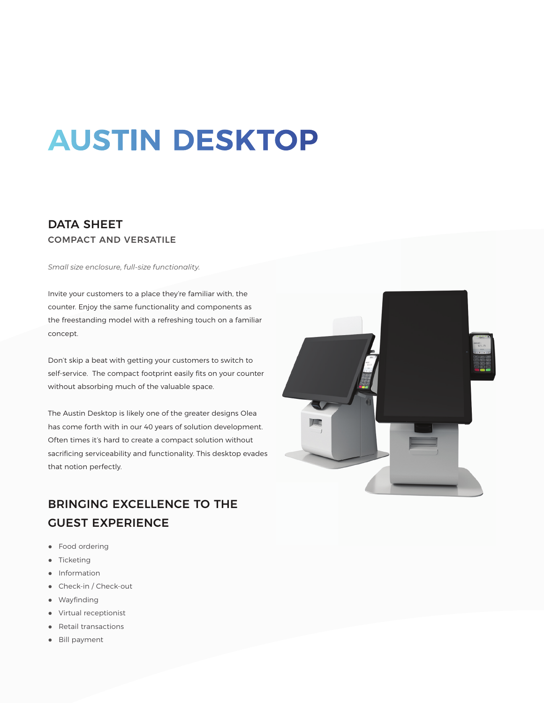# **AUSTIN DESKTOP**

### DATA SHEET COMPACT AND VERSATILE

*Small size enclosure, full-size functionality.*

Invite your customers to a place they're familiar with, the counter. Enjoy the same functionality and components as the freestanding model with a refreshing touch on a familiar concept.

Don't skip a beat with getting your customers to switch to self-service. The compact footprint easily fits on your counter without absorbing much of the valuable space.

The Austin Desktop is likely one of the greater designs Olea has come forth with in our 40 years of solution development. Often times it's hard to create a compact solution without sacrificing serviceability and functionality. This desktop evades that notion perfectly.

# $\sqrt{2}$

## BRINGING EXCELLENCE TO THE GUEST EXPERIENCE

- Food ordering
- Ticketing
- Information
- Check-in / Check-out
- Wayfinding
- Virtual receptionist
- Retail transactions
- Bill payment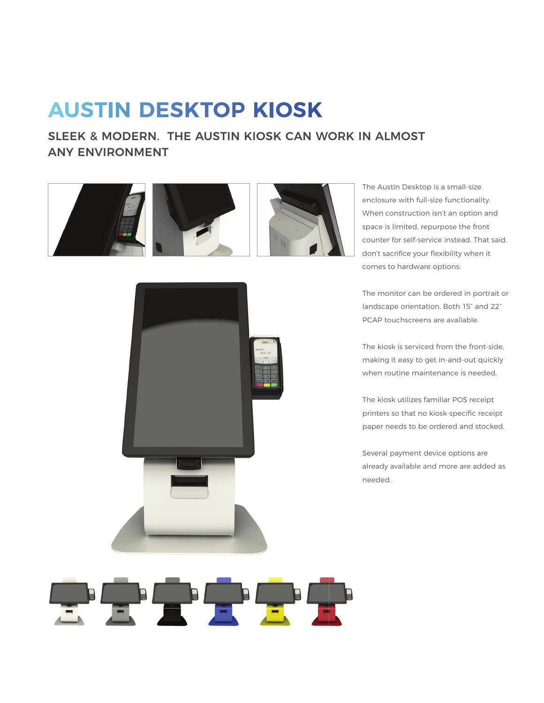# **AUSTIN DESKTOP KIOSK**

## SLEEK & MODERN. THE AUSTIN KIOSK CAN WORK IN ALMOST ANY ENVIRONMENT





The Austin Desktop is a small-size enclosure with full-size functionality. When construction isn't an option and space is limited, repurpose the front counter for self-service instead. That said, don't sacrifice your flexibility when it comes to hardware options:

The monitor can be ordered in portrait or landscape orientation. Both 15" and 22" PCAP touchscreens are available.

The kiosk is serviced from the front-side, making it easy to get in-and-out quickly when routine maintenance is needed.

The kiosk utilizes familiar POS receipt printers so that no kiosk-specific receipt paper needs to be ordered and stocked.

Several payment device options are already available and more are added as needed.

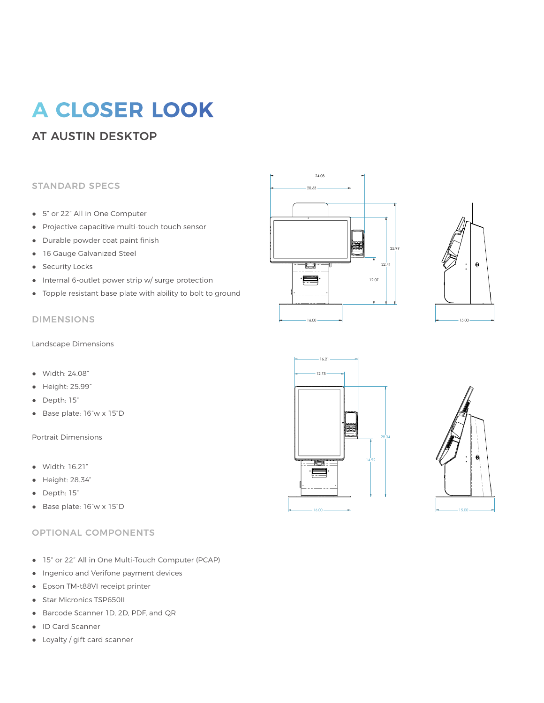# **A CLOSER LOOK**

## AT AUSTIN DESKTOP

#### STANDARD SPECS

- 5" or 22" All in One Computer
- Projective capacitive multi-touch touch sensor
- Durable powder coat paint finish
- 16 Gauge Galvanized Steel
- Security Locks
- Internal 6-outlet power strip w/ surge protection
- Topple resistant base plate with ability to bolt to ground

#### DIMENSIONS

Landscape Dimensions

- Width: 24.08"
- Height: 25.99"
- Depth: 15"
- Base plate: 16"w x 15"D

Portrait Dimensions

- Width: 16.21"
- Height: 28.34"
- Depth: 15"
- Base plate: 16"w x 15"D

#### OPTIONAL COMPONENTS

- 15" or 22" All in One Multi-Touch Computer (PCAP)
- Ingenico and Verifone payment devices
- Epson TM-t88VI receipt printer
- Star Micronics TSP650II
- Barcode Scanner 1D, 2D, PDF, and QR
- ID Card Scanner
- Loyalty / gift card scanner